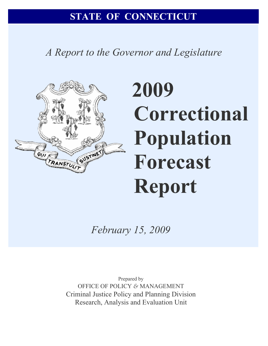*A Report to the Governor and Legislature* 



# **2009 Correctional Population Forecast Report**

*February 15, 2009* 

Prepared by OFFICE OF POLICY *&* MANAGEMENT Criminal Justice Policy and Planning Division Research, Analysis and Evaluation Unit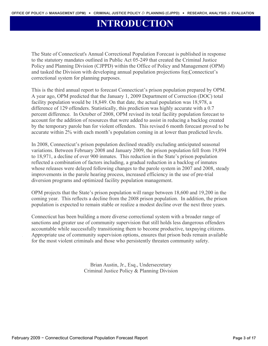# **INTRODUCTION**

The State of Connecticut's Annual Correctional Population Forecast is published in response to the statutory mandates outlined in Public Act 05-249 that created the Criminal Justice Policy and Planning Division (CJPPD) within the Office of Policy and Management (OPM) and tasked the Division with developing annual population projections for Connecticut's correctional system for planning purposes.

This is the third annual report to forecast Connecticut's prison population prepared by OPM. A year ago, OPM predicted that the January 1, 2009 Department of Correction (DOC) total facility population would be 18,849. On that date, the actual population was 18,978, a difference of 129 offenders. Statistically, this prediction was highly accurate with a 0.7 percent difference. In October of 2008, OPM revised its total facility population forecast to account for the addition of resources that were added to assist in reducing a backlog created by the temporary parole ban for violent offenders. This revised 6 month forecast proved to be accurate within 2% with each month's population coming in at lower than predicted levels.

In 2008, Connecticut's prison population declined steadily excluding anticipated seasonal variations. Between February 2008 and January 2009, the prison population fell from 19,894 to 18,971, a decline of over 900 inmates. This reduction in the State's prison population reflected a combination of factors including, a gradual reduction in a backlog of inmates whose releases were delayed following changes to the parole system in 2007 and 2008, steady improvements in the parole hearing process, increased efficiency in the use of pre-trial diversion programs and optimized facility population management.

OPM projects that the State's prison population will range between 18,600 and 19,200 in the coming year. This reflects a decline from the 2008 prison population. In addition, the prison population is expected to remain stable or realize a modest decline over the next three years.

Connecticut has been building a more diverse correctional system with a broader range of sanctions and greater use of community supervision that still holds less dangerous offenders accountable while successfully transitioning them to become productive, taxpaying citizens. Appropriate use of community supervision options, ensures that prison beds remain available for the most violent criminals and those who persistently threaten community safety.

> Brian Austin, Jr., Esq., Undersecretary Criminal Justice Policy & Planning Division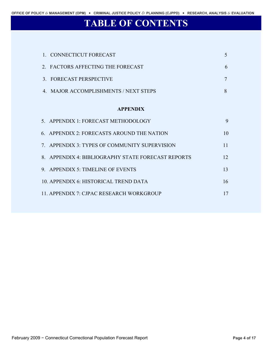# **TABLE OF CONTENTS**

| 1. CONNECTICUT FORECAST                            | 5  |
|----------------------------------------------------|----|
| 2. FACTORS AFFECTING THE FORECAST                  | 6  |
| 3. FORECAST PERSPECTIVE                            | 7  |
| 4. MAJOR ACCOMPLISHMENTS / NEXT STEPS              | 8  |
| <b>APPENDIX</b>                                    |    |
| 5. APPENDIX 1: FORECAST METHODOLOGY                | 9  |
| 6. APPENDIX 2: FORECASTS AROUND THE NATION         | 10 |
| 7. APPENDIX 3: TYPES OF COMMUNITY SUPERVISION      | 11 |
| 8. APPENDIX 4: BIBLIOGRAPHY STATE FORECAST REPORTS | 12 |
| 9. APPENDIX 5: TIMELINE OF EVENTS                  | 13 |
| 10. APPENDIX 6: HISTORICAL TREND DATA              | 16 |
| 11. APPENDIX 7: CJPAC RESEARCH WORKGROUP           | 17 |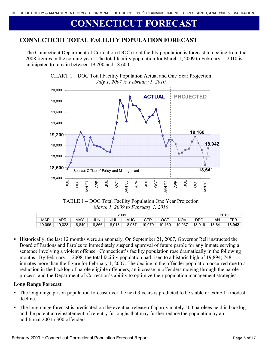# **CONNECTICUT FORECAST**

## **CONNECTICUT TOTAL FACILITY POPULATION FORECAST**

The Connecticut Department of Correction (DOC) total facility population is forecast to decline from the 2008 figures in the coming year. The total facility population for March 1, 2009 to February 1, 2010 is anticipated to remain between 19,200 and 18,600.



CHART 1 – DOC Total Facility Population Actual and One Year Projection *July 1, 2007 to February 1, 2010* 

TABLE 1 – DOC Total Facility Population One Year Projection *March 1, 2009 to February 1, 2010* 

|            | 2010   |        |        |        |        |        |        |            |        |            |        |
|------------|--------|--------|--------|--------|--------|--------|--------|------------|--------|------------|--------|
| <b>MAR</b> | APR    | MAY    | JUN    | JUL    | AUG    | SEP    | ост    | <b>NOV</b> | DEC    | <b>JAN</b> | FEB    |
| 19.095     | 19.023 | 18.849 | 18.866 | 18.913 | 18.937 | 19.070 | 19.160 | 19.037     | 18.916 | 18.641     | 18.942 |

 Historically, the last 12 months were an anomaly. On September 21, 2007, Governor Rell instructed the Board of Pardons and Paroles to immediately suspend approval of future parole for any inmate serving a sentence involving a violent offense. Connecticut's facility population rose dramatically in the following months. By February 1, 2008, the total facility population had risen to a historic high of 19,894; 748 inmates more than the figure for February 1, 2007. The decline in the offender population occurred due to a reduction in the backlog of parole eligible offenders, an increase in offenders moving through the parole process, and the Department of Correction's ability to optimize their population management strategies.

## **Long Range Forecast**

- The long range prison population forecast over the next 3 years is predicted to be stable or exhibit a modest decline.
- The long range forecast is predicated on the eventual release of approximately 500 parolees held in backlog and the potential reinstatement of re-entry furloughs that may further reduce the population by an additional 200 to 300 offenders.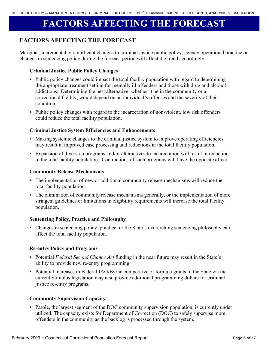# **FACTORS AFFECTING THE FORECAST**

## **FACTORS AFFECTING THE FORECAST**

Marginal, incremental or significant changes to criminal justice public policy, agency operational practice or changes in sentencing policy during the forecast period will affect the trend accordingly.

## **Criminal Justice Public Policy Changes**

- Public policy changes could impact the total facility population with regard to determining the appropriate treatment setting for mentally ill offenders and those with drug and alcohol addictions. Determining the best alternative, whether it be in the community or a correctional facility, would depend on an individual's offenses and the severity of their condition.
- Public policy changes with regard to the incarceration of non-violent, low risk offenders could reduce the total facility population.

## **Criminal Justice System Efficiencies and Enhancements**

- Making systemic changes to the criminal justice system to improve operating efficiencies may result in improved case processing and reductions in the total facility population.
- Expansion of diversion programs and/or alternatives to incarceration will result in reductions in the total facility population. Contractions of such programs will have the opposite affect.

## **Community Release Mechanisms**

- The implementation of new or additional community release mechanisms will reduce the total facility population.
- The elimination of community release mechanisms generally, or the implementation of more stringent guidelines or limitations in eligibility requirements will increase the total facility population.

#### **Sentencing Policy, Practice and Philosophy**

 Changes in sentencing policy, practice, or the State's overarching sentencing philosophy can affect the total facility population.

## **Re-entry Policy and Programs**

- Potential *Federal Second Chance Act* funding in the near future may result in the State's ability to provide new re-entry programming.
- Potential increases in Federal JAG/Byrne competitive or formula grants to the State via the current Stimulus legislation may also provide additional programming dollars for criminal justice re-entry programs.

#### **Community Supervision Capacity**

• Parole, the largest segment of the DOC community supervision population, is currently under utilized. The capacity exists for Department of Correction (DOC) to safely supervise more offenders in the community as the backlog is processed through the system.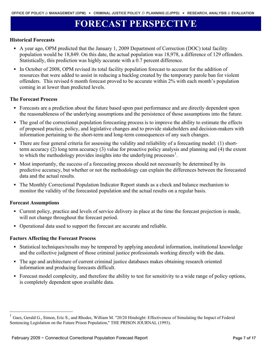# **FORECAST PERSPECTIVE**

#### **Historical Forecasts**

- A year ago, OPM predicted that the January 1, 2009 Department of Correction (DOC) total facility population would be 18,849. On this date, the actual population was 18,978, a difference of 129 offenders. Statistically, this prediction was highly accurate with a 0.7 percent difference.
- In October of 2008, OPM revised its total facility population forecast to account for the addition of resources that were added to assist in reducing a backlog created by the temporary parole ban for violent offenders. This revised 6 month forecast proved to be accurate within 2% with each month's population coming in at lower than predicted levels.

#### **The Forecast Process**

- Forecasts are a prediction about the future based upon past performance and are directly dependent upon the reasonableness of the underlying assumptions and the persistence of those assumptions into the future.
- The goal of the correctional population forecasting process is to improve the ability to estimate the effects of proposed practice, policy, and legislative changes and to provide stakeholders and decision-makers with information pertaining to the short-term and long-term consequences of any such changes.
- There are four general criteria for assessing the validity and reliability of a forecasting model: (1) shortterm accuracy (2) long term accuracy (3) value for proactive policy analysis and planning and (4) the extent to which the methodology provides insights into the underlying processes $1$ .
- Most importantly, the success of a forecasting process should not necessarily be determined by its predictive accuracy, but whether or not the methodology can explain the differences between the forecasted data and the actual results.
- The Monthly Correctional Population Indicator Report stands as a check and balance mechanism to monitor the validity of the forecasted population and the actual results on a regular basis.

#### **Forecast Assumptions**

 $\overline{a}$ 

- Current policy, practice and levels of service delivery in place at the time the forecast projection is made, will not change throughout the forecast period.
- Operational data used to support the forecast are accurate and reliable.

#### **Factors Affecting the Forecast Process**

- Statistical techniques/results may be tempered by applying anecdotal information, institutional knowledge and the collective judgment of those criminal justice professionals working directly with the data.
- The age and architecture of current criminal justice databases makes obtaining research oriented information and producing forecasts difficult.
- Forecast model complexity, and therefore the ability to test for sensitivity to a wide range of policy options, is completely dependent upon available data.

<span id="page-6-0"></span><sup>&</sup>lt;sup>1</sup> Gaes, Gerald G., Simon, Eric S., and Rhodes, William M. "20/20 Hindsight: Effectiveness of Simulating the Impact of Federal Sentencing Legislation on the Future Prison Population," THE PRISON JOURNAL (1993).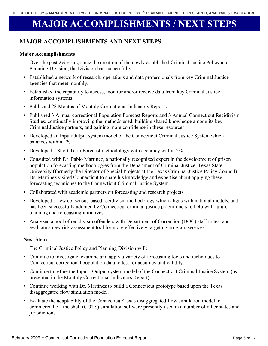# **MAJOR ACCOMPLISHMENTS / NEXT STEPS**

## **MAJOR ACCOMPLISHMENTS AND NEXT STEPS**

## **Major Accomplishments**

Over the past 2½ years, since the creation of the newly established Criminal Justice Policy and Planning Division, the Division has successfully:

- Established a network of research, operations and data professionals from key Criminal Justice agencies that meet monthly.
- Established the capability to access, monitor and/or receive data from key Criminal Justice information systems.
- Published 28 Months of Monthly Correctional Indicators Reports.
- Published 3 Annual correctional Population Forecast Reports and 3 Annual Connecticut Recidivism Studies; continually improving the methods used, building shared knowledge among its key Criminal Justice partners, and gaining more confidence in these resources.
- Developed an Input/Output system model of the Connecticut Criminal Justice System which balances within 1%.
- Developed a Short Term Forecast methodology with accuracy within 2%.
- Consulted with Dr. Pablo Martinez, a nationally recognized expert in the development of prison population forecasting methodologies from the Department of Criminal Justice, Texas State University (formerly the Director of Special Projects at the Texas Criminal Justice Policy Council). Dr. Martinez visited Connecticut to share his knowledge and expertise about applying these forecasting techniques to the Connecticut Criminal Justice System.
- Collaborated with academic partners on forecasting and research projects.
- Developed a new consensus-based recidivism methodology which aligns with national models, and has been successfully adopted by Connecticut criminal justice practitioners to help with future planning and forecasting initiatives.
- Analyzed a pool of recidivism offenders with Department of Correction (DOC) staff to test and evaluate a new risk assessment tool for more effectively targeting program services.

## **Next Steps**

The Criminal Justice Policy and Planning Division will:

- Continue to investigate, examine and apply a variety of forecasting tools and techniques to Connecticut correctional population data to test for accuracy and validity.
- Continue to refine the Input Output system model of the Connecticut Criminal Justice System (as presented in the Monthly Correctional Indicators Report).
- Continue working with Dr. Martinez to build a Connecticut prototype based upon the Texas disaggregated flow simulation model.
- Evaluate the adaptability of the Connecticut/Texas disaggregated flow simulation model to commercial off the shelf (COTS) simulation software presently used in a number of other states and jurisdictions.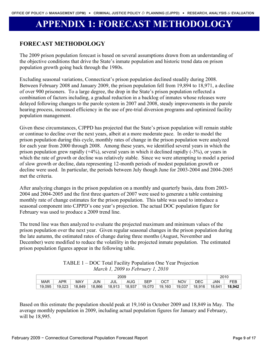# **APPENDIX 1: FORECAST METHODOLOGY**

## **FORECAST METHODOLOGY**

The 2009 prison population forecast is based on several assumptions drawn from an understanding of the objective conditions that drive the State's inmate population and historic trend data on prison population growth going back through the 1980s.

Excluding seasonal variations, Connecticut's prison population declined steadily during 2008. Between February 2008 and January 2009, the prison population fell from 19,894 to 18,971, a decline of over 900 prisoners. To a large degree, the drop in the State's prison population reflected a combination of factors including, a gradual reduction in a backlog of inmates whose releases were delayed following changes to the parole system in 2007 and 2008, steady improvements in the parole hearing process, increased efficiency in the use of pre-trial diversion programs and optimized facility population management.

Given these circumstances, CJPPD has projected that the State's prison population will remain stable or continue to decline over the next years, albeit at a more moderate pace. In order to model the prison population during this cycle, monthly rates of change in the prison population were analyzed for each year from 2000 through 2008. Among these years, we identified several years in which the prison population grew rapidly (+4%), several years in which it declined rapidly (-3%), or years in which the rate of growth or decline was relatively stable. Since we were attempting to model a period of slow growth or decline, data representing 12-month periods of modest population growth or decline were used. In particular, the periods between July though June for 2003-2004 and 2004-2005 met the criteria.

After analyzing changes in the prison population on a monthly and quarterly basis, data from 2003- 2004 and 2004-2005 and the first three quarters of 2007 were used to generate a table containing monthly rate of change estimates for the prison population. This table was used to introduce a seasonal component into CJPPD's one year's projection. The actual DOC population figure for February was used to produce a 2009 trend line.

The trend line was then analyzed to evaluate the projected maximum and minimum values of the prison population over the next year. Given regular seasonal changes in the prison population during the late autumn, the estimated rates of change during three months (August, November and December) were modified to reduce the volatility in the projected inmate population. The estimated prison population figures appear in the following table.

 $TATL T1 - DQCH$   $ATL T1$ 

| $I$ ABLE $I$ – DOC Total Facility Population One Year Projection |
|------------------------------------------------------------------|
| March 1, 2009 to February 1, 2010                                |
|                                                                  |

|            | 2010       |        |        |        |        |        |                   |        |        |        |                 |
|------------|------------|--------|--------|--------|--------|--------|-------------------|--------|--------|--------|-----------------|
| <b>MAR</b> | <b>APR</b> | MAY    | JUN    | JUL    | AUG    | SEP    | $OC^{\mathsf{T}}$ | NOV    | DEC    | JAN    | <b>CCD</b><br>ᄃ |
| 19.095     | 19.023     | 18.849 | 18.866 | 18,913 | 18.937 | 19.070 | 19.160            | 19.037 | 18,916 | 18,641 | 18,942          |

Based on this estimate the population should peak at 19,160 in October 2009 and 18,849 in May. The average monthly population in 2009, including actual population figures for January and February, will be 18,995.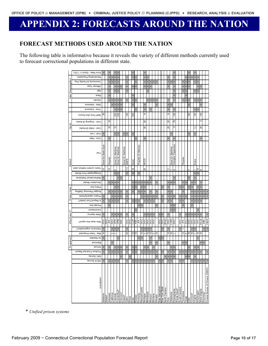# **APPENDIX 2: FORECASTS AROUND THE NATION**

## **FORECAST METHODS USED AROUND THE NATION**

The following table is informative because it reveals the variety of different methods currently used to forecast correctional populations in different state.

|                | Error Rate - Good (< 1.2%)       | $\times$                    |        |                           |            |                        | $\times$                  |          |                    |                |        |                |            |                       |                           |                |                   |                 |                |          |               |                       |                       |                |                       |                           |               |                |                |                       |               |          |                 |                                  |                 |          |                                  |
|----------------|----------------------------------|-----------------------------|--------|---------------------------|------------|------------------------|---------------------------|----------|--------------------|----------------|--------|----------------|------------|-----------------------|---------------------------|----------------|-------------------|-----------------|----------------|----------|---------------|-----------------------|-----------------------|----------------|-----------------------|---------------------------|---------------|----------------|----------------|-----------------------|---------------|----------|-----------------|----------------------------------|-----------------|----------|----------------------------------|
|                | Recidivating Population          |                             |        | $\times$                  | $\times$   | $\pmb{\times}$         | $\times$                  |          |                    | $\times$       |        | $\times$       | $\times$   |                       |                           | $\times$       | ×                 |                 |                |          |               |                       |                       | $\times$       |                       | $\times$                  |               |                |                | $\times$              | $\times$      | $\times$ | $\times$        | $\times$                         |                 |          |                                  |
|                | Community & Facility Pop.        |                             |        |                           |            | $\pmb{\times}$         | ×                         |          |                    |                |        |                |            |                       |                           |                | $\times$          | $\times$        | $\pmb{\times}$ | $\times$ |               |                       |                       | $\times$       | $\times$              | ×                         |               |                |                | $\times$              |               |          | ×               | $\times$                         |                 |          |                                  |
|                | 9qγT əznəftO                     |                             |        | $\times$                  |            | $\times$               | $\pmb{\times}$            | $\times$ |                    | $\times$       |        | $\times$       | $\times$   |                       |                           | $\times$       | $\pmb{\times}$    | $\times$        |                |          |               |                       |                       | $\times$       |                       | ×                         |               |                | $\times$       | $\times$              | $\times$      |          |                 | ×                                | ×               |          |                                  |
| Disagreggation | эрА                              |                             |        |                           |            | $\times$               | ×                         |          |                    |                |        |                |            |                       |                           |                | ×                 |                 |                |          |               |                       |                       |                |                       | ×                         |               |                | $\times$       | ×                     |               |          | $\times$        | $\times$                         |                 |          |                                  |
|                | Race                             |                             |        |                           |            |                        |                           |          |                    |                |        | $\times$       |            |                       |                           |                |                   |                 |                |          |               |                       |                       |                |                       | $\times$                  |               |                |                | $\times$              |               |          |                 |                                  |                 |          |                                  |
| Data           | Gender                           |                             |        |                           |            | $\times$               | $\times$                  | $\times$ |                    |                |        | $\times$       | $\geq$     |                       |                           |                | $\times$          | ×               | $\pmb{\times}$ | $\times$ |               |                       |                       | $\times$       |                       | ×                         |               |                |                | $\times$              |               |          | $\times$        | $\times$                         | $\times$        |          |                                  |
|                | Data - Intensive                 |                             |        |                           | $\times$   | $\times$               | $\pmb{\times}$            | $\times$ |                    |                |        | $\times$       |            |                       |                           | $\times$       |                   |                 |                | $\times$ |               |                       |                       | $\pmb{\times}$ | $\times$              |                           |               |                |                |                       | $\times$      |          |                 |                                  | $\times$        |          |                                  |
|                | Time - Intensive                 |                             |        |                           |            | $\times$               | $\times$                  | ×        |                    |                |        |                |            |                       |                           | $\times$       |                   | ×               |                |          |               |                       |                       | $\times$       |                       | ×                         |               |                |                |                       |               |          | $\pmb{\times}$  | $\times$                         |                 |          |                                  |
|                | Staff Time (Est Hours)           | 5                           |        |                           |            |                        | 200                       |          |                    | $\frac{8}{2}$  |        | 500            |            |                       |                           | S              |                   |                 |                |          |               |                       |                       | ₽              |                       | $^{100}$                  |               |                |                |                       | $\frac{0}{2}$ |          | $\frac{0}{2}$   |                                  | $\overline{00}$ |          |                                  |
|                | Cost - Ongoing (\$ thset)        |                             |        | $\frac{8}{10}$            |            |                        |                           |          |                    |                |        |                |            |                       |                           | 50             |                   |                 |                |          |               |                       |                       | 25             |                       | 79                        |               |                |                |                       |               |          |                 |                                  | 5               |          |                                  |
| £<br>liqu      | Cost - Initial (\$ thsds)        |                             |        | $\frac{8}{1}$             |            | °,                     |                           |          |                    |                |        |                |            |                       |                           | ន              |                   |                 |                |          |               |                       |                       | 25             |                       | $\infty$                  |               |                |                |                       |               |          | $\ddot{ }$      |                                  | ສ               |          |                                  |
|                | Cost - Low                       | $\times$                    |        |                           |            | $\times$               | $\times$                  |          | $\pmb{\times}$     | $\pmb{\times}$ |        | $\pmb{\times}$ |            |                       |                           |                |                   |                 |                |          |               |                       |                       |                | ×                     |                           |               |                |                |                       |               |          | ×               |                                  |                 |          |                                  |
|                | Cost - High                      |                             |        |                           |            |                        |                           |          |                    |                |        |                |            |                       |                           | ×              |                   |                 |                |          |               |                       |                       | ×              |                       | ×                         |               |                |                |                       |               |          |                 |                                  |                 |          |                                  |
|                |                                  |                             |        |                           |            |                        |                           |          |                    |                |        |                |            |                       |                           |                |                   |                 |                |          |               |                       |                       |                |                       |                           |               |                |                |                       |               |          |                 |                                  |                 |          |                                  |
| Method         | looT                             | Syst<br>Static<br>Excel for |        | Prophet                   |            | Martinez<br>ة<br>Excel | Dr. Martinez<br>Excel     |          | Excel Dr. Martinez | MAPE           |        | Excel          |            | Dr Matinez<br>Prophet |                           | <b>GOON</b>    |                   |                 |                |          |               |                       |                       |                | Excel Dr. Martinez    | Expensive<br>Complex,     |               |                | Prophet        |                       |               |          | Eview           |                                  |                 |          |                                  |
|                | Years current method used        |                             |        | 10                        |            |                        |                           |          |                    | 5              |        | $\overline{6}$ |            |                       |                           |                |                   |                 |                |          |               |                       |                       |                |                       |                           |               |                |                |                       |               |          |                 |                                  |                 |          |                                  |
|                | Disaggregate Flow Model          | ₽                           |        |                           |            | LΩ.<br>$\pmb{\times}$  | $\pmb{\times}$            |          |                    |                |        | $\times$       |            | ×                     |                           | 20             |                   |                 |                |          |               |                       |                       |                |                       |                           |               |                |                |                       |               |          | $\times$        | $\overline{a}$<br>$\pmb{\times}$ |                 |          |                                  |
|                | Isoitaitst2 \IsoitamedtaM        | ×                           |        |                           |            |                        | ×                         | ×        |                    |                |        |                |            |                       |                           |                |                   | ×               |                |          |               |                       |                       |                |                       |                           |               |                |                |                       |               |          | $\times$        |                                  |                 |          |                                  |
|                | Simulation Model                 |                             |        | $\times$                  | $\times$   | $\times$               | ×                         |          |                    |                |        | $\times$       | $\times$   | $\pmb{\times}$        | $\times$                  |                | $\times$ $\times$ | ×               |                | $\times$ |               |                       |                       | $\times$       | $\boldsymbol{\times}$ | $\times$                  |               |                | $\pmb{\times}$ | $\times$              |               | $\times$ | $\times$        |                                  | ×               |          |                                  |
|                | Policy tool                      |                             |        |                           |            | $\times$               | $\times$                  |          |                    |                |        | $\times$       |            |                       |                           | $\times$       |                   |                 |                |          |               |                       |                       | $\times$       |                       |                           |               |                | $\times$       |                       |               |          |                 |                                  | $\times$        |          |                                  |
| Uses           | Budget Planning/ Staffing        |                             |        | $\times$                  |            | $\times$               | ×                         | $\times$ |                    |                |        | $\times$       |            | $\times$              | $\times$                  | ×              |                   |                 |                | ×        |               |                       |                       | ×              | ×                     |                           |               |                |                |                       |               |          | $\times$        | $\times$                         | $\pmb{\times}$  |          | $\times$                         |
| Primary        | Project capacity/beds            |                             |        |                           | $\times$   | ×                      | ×                         | ×        |                    |                |        |                |            |                       | $\times$                  | ×              | ×                 | ×               | $\times$       | $\times$ |               |                       |                       | ×              | ×                     | $\boldsymbol{\mathsf{x}}$ |               | $\times$       | $\times$       | ×                     |               |          | ×               | ×                                | ×               |          |                                  |
|                | <b>Slute Report/Tool Useful?</b> | $\pmb{\times}$              |        | $\times$                  | ×          | $\times$               | ×                         |          |                    |                |        | ×              | $\times$   |                       |                           | $\times$       | $\pmb{\times}$    | $\pmb{\times}$  |                |          |               |                       |                       | ×              | ×                     |                           |               | $\times$       | ×              |                       |               | ×        | $\times$        | $\times$                         | ×               |          |                                  |
|                | milt effeving                    |                             |        | $\boldsymbol{\mathsf{x}}$ |            |                        |                           |          |                    |                |        |                |            | $\times$              | $\boldsymbol{\mathsf{x}}$ |                |                   |                 |                | ×        |               |                       |                       |                | ×                     | $\times$                  |               |                | $\times$       |                       |               |          |                 |                                  |                 |          |                                  |
|                | Commission                       |                             |        |                           |            |                        |                           |          |                    |                |        |                |            |                       |                           |                |                   |                 |                |          |               |                       |                       |                | $\times$              | $\times$                  |               |                |                |                       |               |          |                 |                                  |                 |          |                                  |
| £              | <b>YonepA</b> stat&              |                             |        |                           | ×          | $\times$               | $\pmb{\times}$            | ×        |                    |                |        |                |            |                       |                           | ×              | ×                 | ×               | $\times$       |          |               |                       |                       |                |                       |                           |               | $\times$       |                | $\times$              | $\times$      | ×        | ×               | ×                                | ×               |          |                                  |
| Does I<br>Who  | Shoqon aint aoob on W            | DОС                         | DOC    | ₹                         | pod        | SdO                    | OPM<br>SAC                |          |                    | poc            | poc    | <b>CJJP</b>    | <b>OSS</b> | Ψſ                    | <b>DOC</b>                | <b>DOC</b>     | <b>DOC</b>        | COO             | ood            |          | poc           | poc                   | <b>SPAC</b>           | COO            | CJRC<br>DOC           |                           |               | poc            | ₹              | roa                   | poc           | ood      | ood             | <b>CFC</b>                       | Srog            | S&A      | FBOP                             |
|                | <b>Snoits Sings</b> of Jametion? |                             |        |                           | ×          | $\pmb{\times}$         | $\times$                  |          |                    | $\times$       |        |                |            |                       | $\times$                  | $\times$       | ×                 | ×               |                |          |               |                       |                       |                |                       |                           |               |                |                |                       |               |          |                 |                                  |                 |          |                                  |
|                | Max. Years Projected             | ₽                           |        |                           | 5          |                        |                           |          |                    | 25             |        | 위우             |            |                       |                           | 992            |                   | ٥,              | ∾∣ാ            |          |               |                       |                       | 유우             |                       |                           |               |                |                | $\frac{2}{5}$ ს       |               | 위우       |                 | 5                                | $\overline{0}$  |          |                                  |
|                | bebeen aA                        | $\times$                    |        |                           |            |                        | ×                         |          |                    |                |        |                |            | $\times$              | $\times$                  |                |                   | ×               |                |          | ×             | $\times$              |                       |                |                       |                           |               |                |                |                       |               |          |                 |                                  |                 |          |                                  |
| Frequency      | <b>Isunnaid</b>                  |                             |        |                           |            |                        |                           |          |                    |                |        |                |            |                       |                           |                |                   | $\times$        |                | $\times$ |               |                       |                       |                |                       |                           |               |                | ×              | $\boldsymbol{\times}$ |               |          |                 |                                  | $\pmb{\times}$  | $\times$ |                                  |
|                | <b>l</b> sunnA                   |                             |        |                           |            | $\times$               | $\times$                  | ×        |                    |                |        |                | $\times$   |                       |                           |                |                   |                 | $\times$       |          |               |                       |                       |                |                       | $\times$                  |               |                |                |                       |               |          |                 |                                  |                 |          |                                  |
|                | Produce Forecast Report          | $\times$                    |        | $\times$                  | $\times$   | $\pmb{\times}$         | $\pmb{\times}$            | $\times$ |                    | $\times$       |        | ×              | ×          |                       | $\pmb{\times}$            | $\pmb{\times}$ | $\pmb{\times}$    | $\pmb{\times}$  | $\pmb{\times}$ | $\times$ |               |                       |                       | $\times$       | $\times$              | ×                         |               | $\pmb{\times}$ | $\pmb{\times}$ | $\pmb{\times}$        | $\times$      | $\times$ | $\pmb{\times}$  | $\times$                         | ×               |          |                                  |
|                | SAC Survey                       |                             |        |                           |            |                        |                           | ×        |                    |                |        |                |            |                       |                           |                |                   |                 |                |          |               |                       |                       | $\times$       | ×                     | ×                         |               |                |                |                       |               |          |                 |                                  |                 |          |                                  |
|                | ASCA Survey                      | $\times$                    |        |                           |            |                        |                           |          |                    |                |        |                |            |                       |                           | $\times$       |                   |                 |                |          |               |                       |                       |                | $\times$              |                           |               |                |                |                       |               |          |                 | $\times$                         |                 |          |                                  |
|                | Jurisdiction                     | Alabama                     | Naska* | Arkansas                  | California | obeior.                | Connecticut*<br>Delaware* |          | *iiewali           |                |        |                | kansas     | <b>Kantucky</b>       | Vlassachusetts            | Michigan       | Minnesota         | <b>Aissouri</b> | Aontana        | levada   | Jew Hampshire | <b>Jew York State</b> | <b>Vorth Carolina</b> |                | <b>Dklahoma</b>       | ennsylvania               | khode Island* | South Carolina | ennessee       |                       |               | /ermont' | <i>lirginia</i> | Vashington                       | Vest Virginia   | "Nyoming | Federal Bureau of Prisons (FBOP) |
|                |                                  |                             |        |                           |            |                        |                           |          |                    | daho           | linois | pwo            |            |                       |                           |                |                   |                 |                |          |               |                       |                       | Ohio           |                       |                           |               |                |                | Texas                 | rtah          |          |                 |                                  |                 |          |                                  |

\* *Unified prison systems*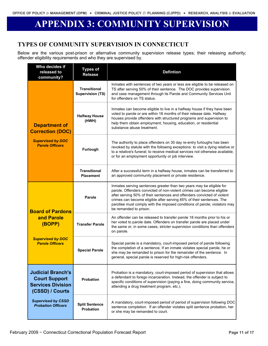# **APPENDIX 3: COMMUNITY SUPERVISION**

## **TYPES OF COMMUNITY SUPERVISION IN CONNECTICUT**

Below are the various post-prison or alternative community supervision release types; their releasing authority; offender eligibility requirements and who they are supervised by.

| Who decides if<br>released to<br>community?                                                     | <b>Types of</b><br><b>Release</b>              | <b>Defintion</b>                                                                                                                                                                                                                                                                                                                                                                                        |
|-------------------------------------------------------------------------------------------------|------------------------------------------------|---------------------------------------------------------------------------------------------------------------------------------------------------------------------------------------------------------------------------------------------------------------------------------------------------------------------------------------------------------------------------------------------------------|
|                                                                                                 | <b>Transitional</b><br><b>Supervision (TS)</b> | Inmates with sentences of two years or less are eligible to be released on<br>TS after serving 50% of their sentence. The DOC provides supervision<br>and case management through its Parole and Community Services Unit<br>for offenders on TS status.                                                                                                                                                 |
| <b>Department of</b><br><b>Correction (DOC)</b>                                                 | <b>Halfway House</b><br>(HWH)                  | Inmates can become eligible to live in a halfway house if they have been<br>voted to parole or are within 18 months of their release date. Halfway<br>houses provide offenders with structured programs and supervision to<br>help them obtain employment, housing, education, or residential<br>substance abuse treatment.                                                                             |
| <b>Supervised by DOC</b><br><b>Parole Officers</b>                                              | Furlough                                       | The authority to place offenders on 30 day re-entry furloughs has been<br>revoked by statute with the following exceptions: to visit a dying relative or<br>to a relative's funeral; to receive medical services not otherwise available;<br>or for an employment opportunity or job interview.                                                                                                         |
|                                                                                                 | <b>Transitional</b><br><b>Placement</b>        | After a successful term in a halfway house, inmates can be transferred to<br>an approved community placement or private residence.                                                                                                                                                                                                                                                                      |
| <b>Board of Pardons</b>                                                                         | Parole                                         | Inmates serving sentences greater than two years may be eligible for<br>parole. Offenders convicted of non-violent crimes can become eligible<br>after serving 50% of their sentences and offenders convicted of violent<br>crimes can become eligible after serving 85% of their sentences. The<br>parollee must comply with the imposed conditions of parole; violators may<br>be remanded to prison. |
| and Parole<br>(BOPP)                                                                            | <b>Transfer Parole</b>                         | An offender can be released to transfer parole 18 months prior to his or<br>her voted to parole date. Offenders on transfer parole are placed under<br>the same or, in some cases, stricter supervision conditions than offenders<br>on parole.                                                                                                                                                         |
| <b>Supervised by DOC</b><br><b>Parole Officers</b>                                              | <b>Special Parole</b>                          | Special parole is a mandatory, court-imposed period of parole following<br>the completion of a sentence. If an inmate violates special parole, he or<br>she may be remanded to prison for the remainder of the sentence. In<br>general, special parole is reserved for high-risk offenders.                                                                                                             |
| <b>Judicial Branch's</b><br><b>Court Support</b><br><b>Services Division</b><br>(CSSD) / Courts | <b>Probation</b>                               | Probation is a mandatory, court-imposed period of supervision that allows<br>a defendant to forego incarceration. Instead, the offender is subject to<br>specific conditions of supervision (paying a fine, doing community service,<br>attending a drug treatment program, etc.).                                                                                                                      |
| <b>Supervised by CSSD</b><br><b>Probation Officers</b>                                          | <b>Split Sentence</b><br>Probation             | A mandatory, court-imposed period of period of supervision following DOC<br>sentence completion. If an offender violates split sentence probation, her<br>or she may be remanded to court.                                                                                                                                                                                                              |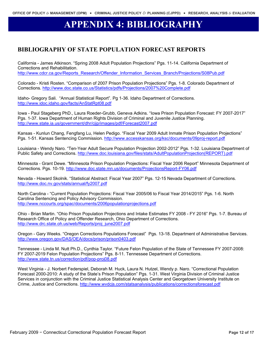# **APPENDIX 4: BIBLIOGRAPHY**

## **BIBLIOGRAPHY OF STATE POPULATION FORECAST REPORTS**

California - James Atkinson. "Spring 2008 Adult Population Projections" Pgs. 11-14. California Department of Corrections and Rehabilitation.

http://www.cdcr.ca.gov/Reports\_Research/Offender\_Information\_Services\_Branch/Projections/S08Pub.pdf

Colorado - Kristi Rosten. "Comparison of 2007 Prison Population Projections" Pgs. 1-8. Colorado Department of Corrections.<http://www.doc.state.co.us/Statistics/pdfs/Projections/2007%20Complete.pdf>

Idaho- Gregory Sali. "Annual Statistical Report". Pg 1-36. Idaho Department of Corrections. <http://www.idoc.idaho.gov/facts/AnStatRpt08.pdf>

Iowa - Paul Stageberg PhD., Laura Roeder-Grubb, Geneva Adkins. "Iowa Prison Population Forecast: FY 2007-2017" Pgs. 1-37. Iowa Department of Human Rights Division of Criminal and Juvenile Justice Planning. <http://www.state.ia.us/government/dhr/cjjp/images/pdf/Forecast2007.pdf>

Kansas - Kunlun Chang, Fengfang Lu, Helen Pedigo. "Fiscal Year 2009 Adult Inmate Prison Population Projections" Pgs. 1-51. Kansas Sentencing Commission.<http://www.accesskansas.org/ksc/documents/09proj-report.pdf>

Louisiana - Wendy Naro. "Ten-Year Adult Secure Population Projection 2002-2012" Pgs. 1-32. Louisiana Department of Public Safety and Corrections. [http://www.doc.louisiana.gov/files/stats/AdultPopulationProjection\(REPORT\).pdf](http://www.doc.louisiana.gov/files/stats/AdultPopulationProjection(REPORT).pdf)

Minnesota - Grant Dewe. "Minnesota Prison Population Projections: Fiscal Year 2006 Report" Minnesota Department of Corrections. Pgs. 10-19.<http://www.doc.state.mn.us/documents/ProjectionsReport-FY06.pdf>

Nevada - Howard Skolnik. "Statistical Abstract: Fiscal Year 2007" Pgs. 12-15 Nevada Department of Corrections. <http://www.doc.nv.gov/stats/annual/fy2007.pdf>

North Carolina - "Current Population Projections: Fiscal Year 2005/06 to Fiscal Year 2014/2015" Pgs. 1-6. North Carolina Sentencing and Policy Advisory Commission. <http://www.nccourts.org/spac/documents/2006populationprojections.pdf>

Ohio - Brian Martin. "Ohio Prison Population Projections and Intake Estimates FY 2008 - FY 2016" Pgs. 1-7. Bureau of Research Office of Policy and Offender Research, Ohio Department of Corrections. [http://www.drc.state.oh.us/web/Reports/proj\\_june2007.pdf](http://www.drc.state.oh.us/web/Reports/proj_june2007.pdf)

Oregon - Gary Weeks. "Oregon Corrections Populations Forecast" Pgs. 13-18. Department of Administrative Services. <http://www.oregon.gov/DAS/OEA/docs/prison/prison0403.pdf>

Tennessee - Linda M. Nutt Ph.D., Cynthia Taylor. "Future Felon Population of the State of Tennessee FY 2007-2008: FY 2007-2019 Felon Population Projections" Pgs. 8-11. Tennessee Department of Corrections. <http://www.state.tn.us/correction/pdf/pop-proj08.pdf>

West Virginia - J. Norbert Federspiel, Deborah M. Huck, Laura N. Hutzel, Wendy p. Naro. "Correctional Population Forecast 2000-2010: A study of the State's Prison Population" Pgs. 1-31. West Virginia Division of Criminal Justice Services in conjunction with the Criminal Justice Statistical Analysis Center and Georgetown University Institute on Crime, Justice and Corrections. <http://www.wvdcjs.com/statsanalysis/publications/correctionsforecast.pdf>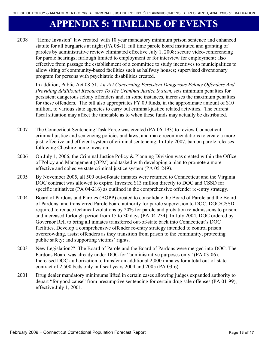# **APPENDIX 5: TIMELINE OF EVENTS**

2008 "Home Invasion" law created with 10 year mandatory minimum prison sentence and enhanced statute for all burglaries at night (PA 08-1); full time parole board instituted and granting of paroles by administrative review eliminated effective July 1, 2008; secure video-conferencing for parole hearings; furlough limited to employment or for interview for employment; also effective from passage the establishment of a committee to study incentives to municipalities to allow siting of community-based facilities such as halfway houses; supervised diversionary program for persons with psychiatric disabilities created.

In addition, Public Act 08-51, *An Act Concerning Persistent Dangerous Felony Offenders And Providing Additional Resources To The Criminal Justice System*, sets minimum penalties for persistent dangerous felony offenders and, in some instances, increases the maximum penalties for these offenders. The bill also appropriates FY 09 funds, in the approximate amount of \$10 million, to various state agencies to carry out criminal-justice related activities. The current fiscal situation may affect the timetable as to when these funds may actually be distributed.

- 2007 The Connecticut Sentencing Task Force was created (PA 06-193) to review Connecticut criminal justice and sentencing policies and laws; and make recommendations to create a more just, effective and efficient system of criminal sentencing. In July 2007, ban on parole releases following Cheshire home invasion.
- 2006 On July 1, 2006, the Criminal Justice Policy & Planning Division was created within the Office of Policy and Management (OPM) and tasked with developing a plan to promote a more effective and cohesive state criminal justice system (PA 05-249).
- 2005 By November 2005, all 500 out-of-state inmates were returned to Connecticut and the Virginia DOC contract was allowed to expire. Invested \$13 million directly to DOC and CSSD for specific initiatives (PA 04-216) as outlined in the comprehensive offender re-entry strategy.
- 2004 Board of Pardons and Paroles (BOPP) created to consolidate the Board of Parole and the Board of Pardons; and transferred Parole board authority for parole supervision to DOC. DOC/CSSD required to reduce technical violations by 20% for parole and probation re-admissions to prison; and increased furlough period from 15 to 30 days (PA 04-234). In July 2004, DOC ordered by Governor Rell to bring all inmates transferred out-of-state back into Connecticut's DOC facilities. Develop a comprehensive offender re-entry strategy intended to control prison overcrowding, assist offenders as they transition from prison to the community; protecting public safety; and supporting victims' rights.
- 2003 New Legislation?? The Board of Parole and the Board of Pardons were merged into DOC. The Pardons Board was already under DOC for "administrative purposes only" (PA 03-06). Increased DOC authorization to transfer an additional 2,000 inmates for a total out-of-state contract of 2,500 beds only in fiscal years 2004 and 2005 (PA 03-6).
- 2001 Drug dealer mandatory minimums lifted in certain cases allowing judges expanded authority to depart "for good cause" from presumptive sentencing for certain drug sale offenses (PA 01-99), effective July 1, 2001.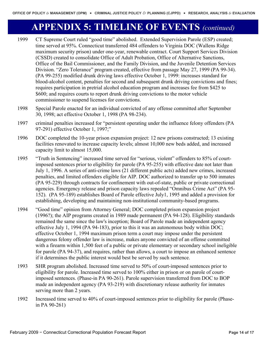# **APPENDIX 5: TIMELINE OF EVENTS** *(continued)*

- 1999 CT Supreme Court ruled "good time" abolished. Extended Supervision Parole (ESP) created; time served at 95%. Connecticut transferred 484 offenders to Virginia DOC (Wallens Ridge maximum security prison) under one-year, renewable contract. Court Support Services Division (CSSD) created to consolidate Office of Adult Probation, Office of Alternative Sanctions, Office of the Bail Commissioner, and the Family Division, and the Juvenile Detention Services Division. "Zero Tolerance" program created, effective from passage May 27, 1999 (PA 99-34). (PA 99-255) modified drunk driving laws effective October 1, 1999: increases standard for blood-alcohol content, penalties for second and subsequent drunk driving convictions and fines; requires participation in pretrial alcohol education program and increases fee from \$425 to \$600; and requires courts to report drunk driving convictions to the motor vehicle commissioner to suspend licenses for convictions.
- 1998 Special Parole enacted for an individual convicted of any offense committed after September 30, 1998; act effective October 1, 1998 (PA 98-234).
- 1997 criminal penalties increased for "persistent operating under the influence felony offenders (PA 97-291) effective October 1, 1997;"
- 1996 DOC completed the 10-year prison expansion project: 12 new prisons constructed; 13 existing facilities renovated to increase capacity levels; almost 10,000 new beds added, and increased capacity limit to almost 15,000.
- 1995 "Truth in Sentencing" increased time served for "serious, violent" offenders to 85% of courtimposed sentences prior to eligibility for parole (PA 95-255) with effective date not later than July 1, 1996. A series of anti-crime laws (21 different public acts) added new crimes, increased penalties, and limited offenders eligible for AIP. DOC authorized to transfer up to 500 inmates (PA 95-229) through contracts for confinement with out-of-state, public or private correctional agencies. Emergency release and prison capacity laws repealed "Omnibus Crime Act" (PA 95- 152). (PA 95-189) establishes Board of Parole effective July1, 1995 and added a provision for establishing, developing and maintaining non-institutional community-based programs.
- 1994 "Good time" opinion from Attorney General; DOC completed prison expansion project (1996?); the AIP programs created in 1989 made permanent (PA 94-128). Eligibility standards remained the same since the law's inception; Board of Parole made an independent agency effective July 1, 1994 (PA 94-183), prior to this it was an autonomous body within DOC; effective October 1, 1994 maximum prison term a court may impose under the persistent dangerous felony offender law is increase, makes anyone convicted of an offense committed with a firearm within 1,500 feet of a public or private elementary or secondary school ineligible for parole (PA 94-37), and requires, rather than allows, a court to impose an enhanced sentence if it determines the public interest would best be served by such sentence.
- 1993 SHR program abolished. Increased time served to 50% of court-imposed sentences prior to eligibility for parole. Increased time served to 100% either in prison or on parole of courtimposed sentences. (Phase-in PA 90-261). Parole supervision transferred from DOC to BOP made an independent agency (PA 93-219) with discretionary release authority for inmates serving more than 2 years.
- 1992 Increased time served to 40% of court-imposed sentences prior to eligibility for parole (Phasein PA 90-261)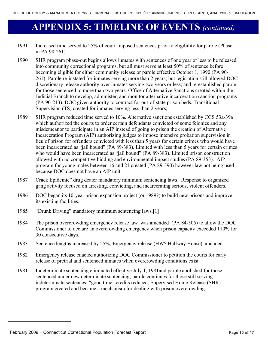## **APPENDIX 5: TIMELINE OF EVENTS** *(continued)*

- 1991 Increased time served to 25% of court-imposed sentences prior to eligibility for parole (Phasein PA 90-261)
- 1990 SHR program phase-out begins allows inmates with sentences of one year or less to be released into community correctional programs, but all must serve at least 50% of sentence before becoming eligible for either community release or parole effective October 1, 1990 (PA 90- 261); Parole re-instated for inmates serving more than 2 years; but legislation still allowed DOC discretionary release authority over inmates serving two years or less; and re-established parole for those sentenced to more than two years. Office of Alternative Sanctions created within the Judicial Branch to develop, administer, and monitor alternative incarceration sanction programs (PA 90-213). DOC given authority to contract for out-of-state prison beds. Transitional Supervision *(TS)* created for inmates serving less than 2 years;
- 1989 SHR program reduced time served to 10%. Alternative sanctions established by CGS 53a-39a which authorized the courts to order certain defendants convicted of some felonies and any misdemeanor to participate in an AIP instead of going to prison the creation of Alternative Incarceration Program (AIP) authorizing judges to impose intensive probation supervision in lieu of prison for offenders convicted with less than 5 years for certain crimes who would have been incarcerated as "jail bound" (PA 89-383). Limited with less than 5 years for certain crimes who would have been incarcerated as "jail bound" (PA 89-383). Limited prison construction allowed with no competitive bidding and environmental impact studies (PA 89-353). AIP program for young males between 16 and 21 created (PA 89-390) however law not being used because DOC does not have an AIP unit.
- 1987 Crack Epidemic" drug dealer mandatory minimum sentencing laws. Response to organized gang activity focused on arresting, convicting, and incarcerating serious, violent offenders.
- 1986 DOC began its 10-year prison expansion project (or 1989?) to build new prisons and improve its existing facilities.
- [1985](#page-14-0) "Drunk Driving" mandatory minimum sentencing laws.[1]
- 1984 The prison overcrowding emergency release law was amended (PA 84-505) to allow the DOC Commissioner to declare an overcrowding emergency when prison capacity exceeded 110% for 30 consecutive days.
- 1983 Sentence lengths increased by 25%; Emergency release (HW? Halfway House) amended.
- 1982 Emergency release enacted authorizing DOC Commissioner to petition the courts for early release of pretrial and sentenced inmates when overcrowding conditions exist.
- 1981 Indeterminate sentencing eliminated effective July 1, 1981and parole abolished for those sentenced under new determinate sentencing; parole continues for those still serving indeterminate sentences; "good time" credits reduced; Supervised Home Release (SHR) program created and became a mechanism for dealing with prison overcrowding.

<span id="page-14-0"></span> $\overline{a}$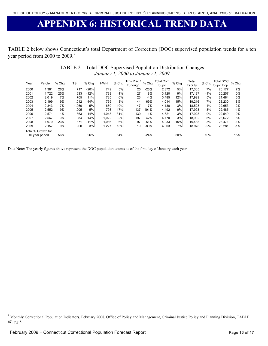# **APPENDIX 6: HISTORICAL TREND DATA**

TABLE 2 below shows Connecticut's total Department of Correction (DOC) supervised population trends for a ten year period from [2](#page-15-0)000 to 2009.<sup>2</sup>

## TABLE 2 – Total DOC Supervised Population Distribution Changes *January 1, 2000 to January 1, 2009*

| Year           | Parole             | % Chg  | TS    | % Chg  | <b>HWH</b> | % Chg  | Trns Plac<br>Furlough | % Chg  | Total Com.<br>Supv. | % Chg  | Total<br>Facility | % Chg  | Total DOC<br>Supv. Pop. | % Chg |
|----------------|--------------------|--------|-------|--------|------------|--------|-----------------------|--------|---------------------|--------|-------------------|--------|-------------------------|-------|
| 2000           | 1,381              | 26%    | 717   | $-20%$ | 749        | 5%     | 25                    | $-26%$ | 2.872               | 5%     | 17.305            | 7%     | 20,177                  | 7%    |
| 2001           | 1.722              | 25%    | 633   | $-12%$ | 738        | $-1%$  | 27                    | 8%     | 3,120               | 9%     | 17.137            | $-1\%$ | 20,257                  | 0%    |
| 2002           | 2.019              | 17%    | 705   | 11%    | 735        | 0%     | 26                    | $-4%$  | 3,485               | 12%    | 17.999            | 5%     | 21.484                  | 6%    |
| 2003           | 2.199              | 9%     | 1.012 | 44%    | 759        | 3%     | 44                    | 69%    | 4.014               | 15%    | 19.216            | 7%     | 23.230                  | 8%    |
| 2004           | 2.343              | 7%     | 1.060 | 5%     | 680        | $-10%$ | 47                    | 7%     | 4.130               | 3%     | 18,523            | $-4%$  | 22,653                  | $-2%$ |
| 2005           | 2.552              | 9%     | 1.005 | $-5%$  | 798        | 17%    | 137                   | 191%   | 4,492               | 9%     | 17.993            | $-3%$  | 22.485                  | $-1%$ |
| 2006           | 2,571              | 1%     | 863   | $-14%$ | 1.048      | 31%    | 139                   | 1%     | 4,621               | 3%     | 17.928            | $0\%$  | 22,549                  | 0%    |
| 2007           | 2.567              | $0\%$  | 984   | 14%    | 1.022      | $-2%$  | 197                   | 42%    | 4.770               | 3%     | 18.902            | 5%     | 23,672                  | 5%    |
| 2008           | 1.979              | $-23%$ | 871   | $-11%$ | 1.086      | 6%     | 97                    | $-51%$ | 4,033               | $-15%$ | 19.438            | 3%     | 23.471                  | $-1%$ |
| 2009           | 2.157              | 9%     | 900   | 3%     | 1,227      | 13%    | 19                    | $-80%$ | 4,303               | 7%     | 18,978            | $-2%$  | 23,281                  | $-1%$ |
|                | Total % Growth for |        |       |        |            |        |                       |        |                     |        |                   |        |                         |       |
| 10 year period |                    | 56%    |       | 26%    |            | 64%    |                       | $-24%$ |                     | 50%    |                   | 10%    |                         | 15%   |

Data Note: The yearly figures above represent the DOC population counts as of the first day of January each year.

 $\overline{a}$ 

<span id="page-15-0"></span><sup>&</sup>lt;sup>2</sup> Monthly Correctional Population Indicators, February 2008, Office of Policy and Management, Criminal Justice Policy and Planning Division, TABLE 6C, pg 8.